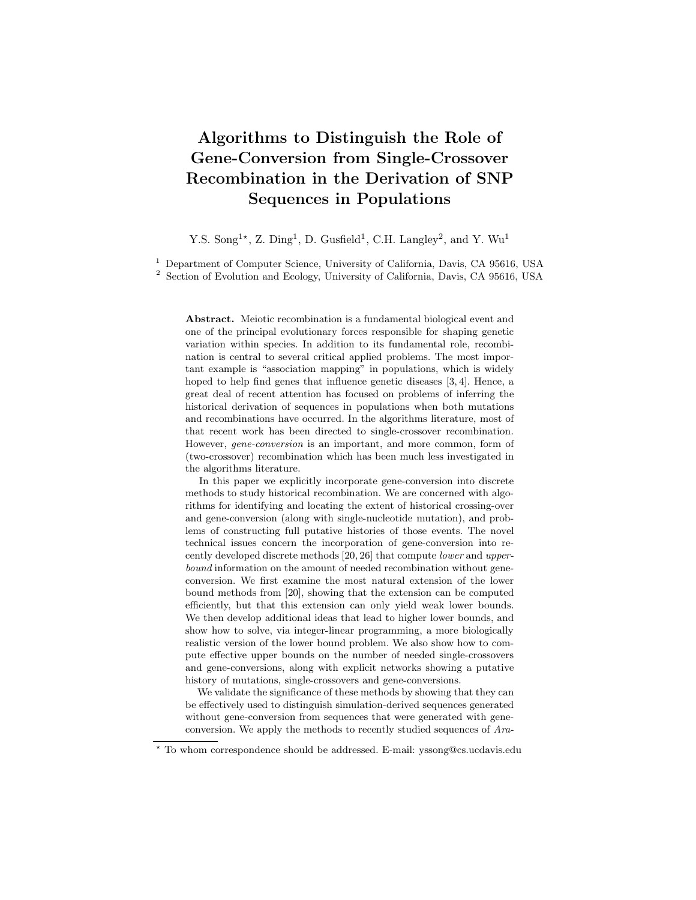# Algorithms to Distinguish the Role of Gene-Conversion from Single-Crossover Recombination in the Derivation of SNP Sequences in Populations

Y.S. Song<sup>1\*</sup>, Z. Ding<sup>1</sup>, D. Gusfield<sup>1</sup>, C.H. Langley<sup>2</sup>, and Y. Wu<sup>1</sup>

<sup>1</sup> Department of Computer Science, University of California, Davis, CA 95616, USA

2 Section of Evolution and Ecology, University of California, Davis, CA 95616, USA

Abstract. Meiotic recombination is a fundamental biological event and one of the principal evolutionary forces responsible for shaping genetic variation within species. In addition to its fundamental role, recombination is central to several critical applied problems. The most important example is "association mapping" in populations, which is widely hoped to help find genes that influence genetic diseases [3, 4]. Hence, a great deal of recent attention has focused on problems of inferring the historical derivation of sequences in populations when both mutations and recombinations have occurred. In the algorithms literature, most of that recent work has been directed to single-crossover recombination. However, gene-conversion is an important, and more common, form of (two-crossover) recombination which has been much less investigated in the algorithms literature.

In this paper we explicitly incorporate gene-conversion into discrete methods to study historical recombination. We are concerned with algorithms for identifying and locating the extent of historical crossing-over and gene-conversion (along with single-nucleotide mutation), and problems of constructing full putative histories of those events. The novel technical issues concern the incorporation of gene-conversion into recently developed discrete methods [20, 26] that compute lower and upperbound information on the amount of needed recombination without geneconversion. We first examine the most natural extension of the lower bound methods from [20], showing that the extension can be computed efficiently, but that this extension can only yield weak lower bounds. We then develop additional ideas that lead to higher lower bounds, and show how to solve, via integer-linear programming, a more biologically realistic version of the lower bound problem. We also show how to compute effective upper bounds on the number of needed single-crossovers and gene-conversions, along with explicit networks showing a putative history of mutations, single-crossovers and gene-conversions.

We validate the significance of these methods by showing that they can be effectively used to distinguish simulation-derived sequences generated without gene-conversion from sequences that were generated with geneconversion. We apply the methods to recently studied sequences of Ara-

<sup>?</sup> To whom correspondence should be addressed. E-mail: yssong@cs.ucdavis.edu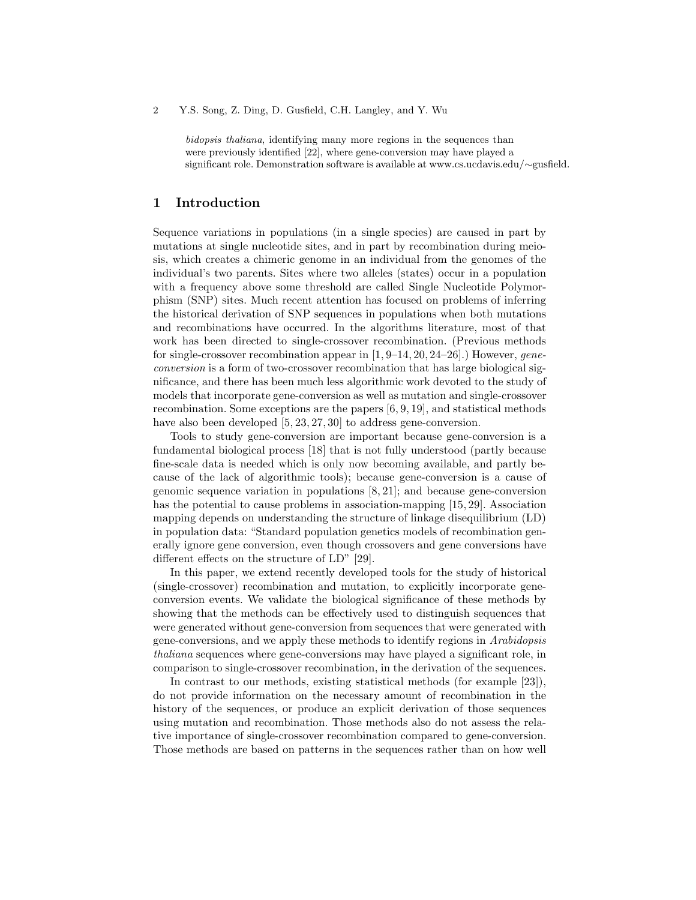bidopsis thaliana, identifying many more regions in the sequences than were previously identified [22], where gene-conversion may have played a significant role. Demonstration software is available at www.cs.ucdavis.edu/∼gusfield.

# 1 Introduction

Sequence variations in populations (in a single species) are caused in part by mutations at single nucleotide sites, and in part by recombination during meiosis, which creates a chimeric genome in an individual from the genomes of the individual's two parents. Sites where two alleles (states) occur in a population with a frequency above some threshold are called Single Nucleotide Polymorphism (SNP) sites. Much recent attention has focused on problems of inferring the historical derivation of SNP sequences in populations when both mutations and recombinations have occurred. In the algorithms literature, most of that work has been directed to single-crossover recombination. (Previous methods for single-crossover recombination appear in  $[1, 9-14, 20, 24-26]$ .) However, geneconversion is a form of two-crossover recombination that has large biological significance, and there has been much less algorithmic work devoted to the study of models that incorporate gene-conversion as well as mutation and single-crossover recombination. Some exceptions are the papers [6, 9, 19], and statistical methods have also been developed [5, 23, 27, 30] to address gene-conversion.

Tools to study gene-conversion are important because gene-conversion is a fundamental biological process [18] that is not fully understood (partly because fine-scale data is needed which is only now becoming available, and partly because of the lack of algorithmic tools); because gene-conversion is a cause of genomic sequence variation in populations [8, 21]; and because gene-conversion has the potential to cause problems in association-mapping [15, 29]. Association mapping depends on understanding the structure of linkage disequilibrium (LD) in population data: "Standard population genetics models of recombination generally ignore gene conversion, even though crossovers and gene conversions have different effects on the structure of LD" [29].

In this paper, we extend recently developed tools for the study of historical (single-crossover) recombination and mutation, to explicitly incorporate geneconversion events. We validate the biological significance of these methods by showing that the methods can be effectively used to distinguish sequences that were generated without gene-conversion from sequences that were generated with gene-conversions, and we apply these methods to identify regions in Arabidopsis thaliana sequences where gene-conversions may have played a significant role, in comparison to single-crossover recombination, in the derivation of the sequences.

In contrast to our methods, existing statistical methods (for example [23]), do not provide information on the necessary amount of recombination in the history of the sequences, or produce an explicit derivation of those sequences using mutation and recombination. Those methods also do not assess the relative importance of single-crossover recombination compared to gene-conversion. Those methods are based on patterns in the sequences rather than on how well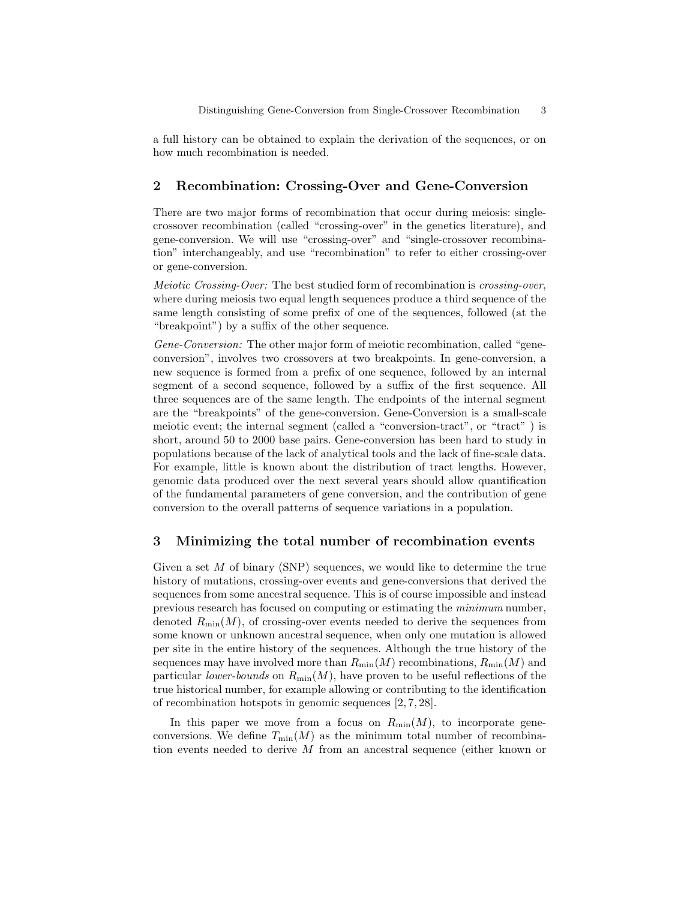a full history can be obtained to explain the derivation of the sequences, or on how much recombination is needed.

# 2 Recombination: Crossing-Over and Gene-Conversion

There are two major forms of recombination that occur during meiosis: singlecrossover recombination (called "crossing-over" in the genetics literature), and gene-conversion. We will use "crossing-over" and "single-crossover recombination" interchangeably, and use "recombination" to refer to either crossing-over or gene-conversion.

Meiotic Crossing-Over: The best studied form of recombination is crossing-over, where during meiosis two equal length sequences produce a third sequence of the same length consisting of some prefix of one of the sequences, followed (at the "breakpoint") by a suffix of the other sequence.

Gene-Conversion: The other major form of meiotic recombination, called "geneconversion", involves two crossovers at two breakpoints. In gene-conversion, a new sequence is formed from a prefix of one sequence, followed by an internal segment of a second sequence, followed by a suffix of the first sequence. All three sequences are of the same length. The endpoints of the internal segment are the "breakpoints" of the gene-conversion. Gene-Conversion is a small-scale meiotic event; the internal segment (called a "conversion-tract", or "tract" ) is short, around 50 to 2000 base pairs. Gene-conversion has been hard to study in populations because of the lack of analytical tools and the lack of fine-scale data. For example, little is known about the distribution of tract lengths. However, genomic data produced over the next several years should allow quantification of the fundamental parameters of gene conversion, and the contribution of gene conversion to the overall patterns of sequence variations in a population.

## 3 Minimizing the total number of recombination events

Given a set  $M$  of binary (SNP) sequences, we would like to determine the true history of mutations, crossing-over events and gene-conversions that derived the sequences from some ancestral sequence. This is of course impossible and instead previous research has focused on computing or estimating the minimum number, denoted  $R_{\text{min}}(M)$ , of crossing-over events needed to derive the sequences from some known or unknown ancestral sequence, when only one mutation is allowed per site in the entire history of the sequences. Although the true history of the sequences may have involved more than  $R_{\min}(M)$  recombinations,  $R_{\min}(M)$  and particular *lower-bounds* on  $R_{\text{min}}(M)$ , have proven to be useful reflections of the true historical number, for example allowing or contributing to the identification of recombination hotspots in genomic sequences [2, 7, 28].

In this paper we move from a focus on  $R_{\min}(M)$ , to incorporate geneconversions. We define  $T_{\min}(M)$  as the minimum total number of recombination events needed to derive M from an ancestral sequence (either known or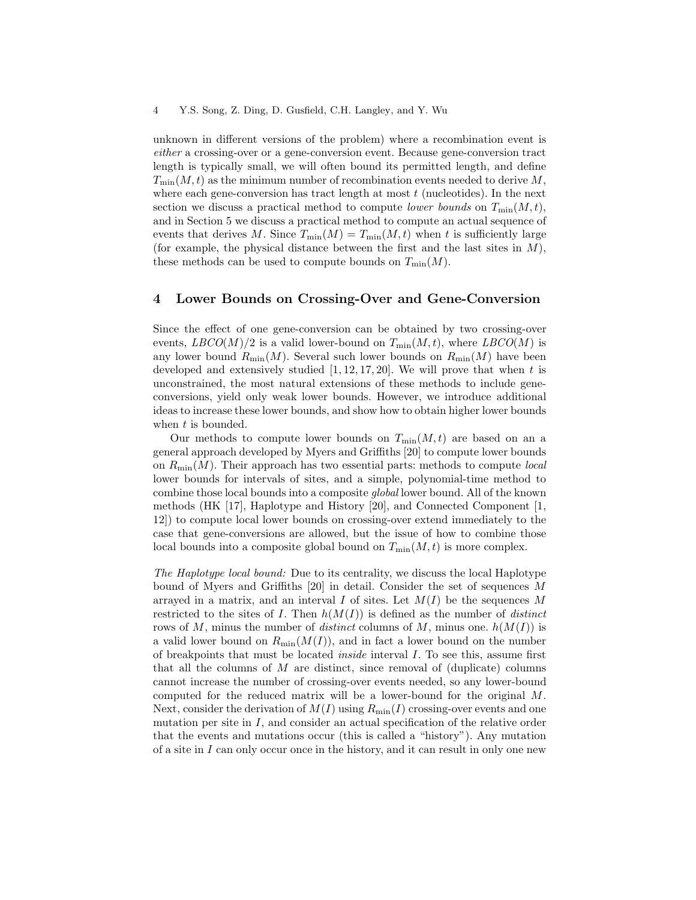unknown in different versions of the problem) where a recombination event is either a crossing-over or a gene-conversion event. Because gene-conversion tract length is typically small, we will often bound its permitted length, and define  $T_{\text{min}}(M, t)$  as the minimum number of recombination events needed to derive M, where each gene-conversion has tract length at most  $t$  (nucleotides). In the next section we discuss a practical method to compute *lower bounds* on  $T_{\text{min}}(M, t)$ , and in Section 5 we discuss a practical method to compute an actual sequence of events that derives M. Since  $T_{\min}(M) = T_{\min}(M, t)$  when t is sufficiently large (for example, the physical distance between the first and the last sites in  $M$ ), these methods can be used to compute bounds on  $T_{\min}(M)$ .

### 4 Lower Bounds on Crossing-Over and Gene-Conversion

Since the effect of one gene-conversion can be obtained by two crossing-over events,  $LBCO(M)/2$  is a valid lower-bound on  $T_{\min}(M, t)$ , where  $LBCO(M)$  is any lower bound  $R_{\min}(M)$ . Several such lower bounds on  $R_{\min}(M)$  have been developed and extensively studied  $[1, 12, 17, 20]$ . We will prove that when t is unconstrained, the most natural extensions of these methods to include geneconversions, yield only weak lower bounds. However, we introduce additional ideas to increase these lower bounds, and show how to obtain higher lower bounds when  $t$  is bounded.

Our methods to compute lower bounds on  $T_{\min}(M, t)$  are based on an a general approach developed by Myers and Griffiths [20] to compute lower bounds on  $R_{\min}(M)$ . Their approach has two essential parts: methods to compute *local* lower bounds for intervals of sites, and a simple, polynomial-time method to combine those local bounds into a composite global lower bound. All of the known methods (HK [17], Haplotype and History [20], and Connected Component [1, 12]) to compute local lower bounds on crossing-over extend immediately to the case that gene-conversions are allowed, but the issue of how to combine those local bounds into a composite global bound on  $T_{\min}(M, t)$  is more complex.

The Haplotype local bound: Due to its centrality, we discuss the local Haplotype bound of Myers and Griffiths [20] in detail. Consider the set of sequences M arrayed in a matrix, and an interval I of sites. Let  $M(I)$  be the sequences M restricted to the sites of I. Then  $h(M(I))$  is defined as the number of *distinct* rows of M, minus the number of *distinct* columns of M, minus one.  $h(M(I))$  is a valid lower bound on  $R_{\min}(M(I))$ , and in fact a lower bound on the number of breakpoints that must be located inside interval I. To see this, assume first that all the columns of  $M$  are distinct, since removal of (duplicate) columns cannot increase the number of crossing-over events needed, so any lower-bound computed for the reduced matrix will be a lower-bound for the original M. Next, consider the derivation of  $M(I)$  using  $R_{\min}(I)$  crossing-over events and one mutation per site in  $I$ , and consider an actual specification of the relative order that the events and mutations occur (this is called a "history"). Any mutation of a site in I can only occur once in the history, and it can result in only one new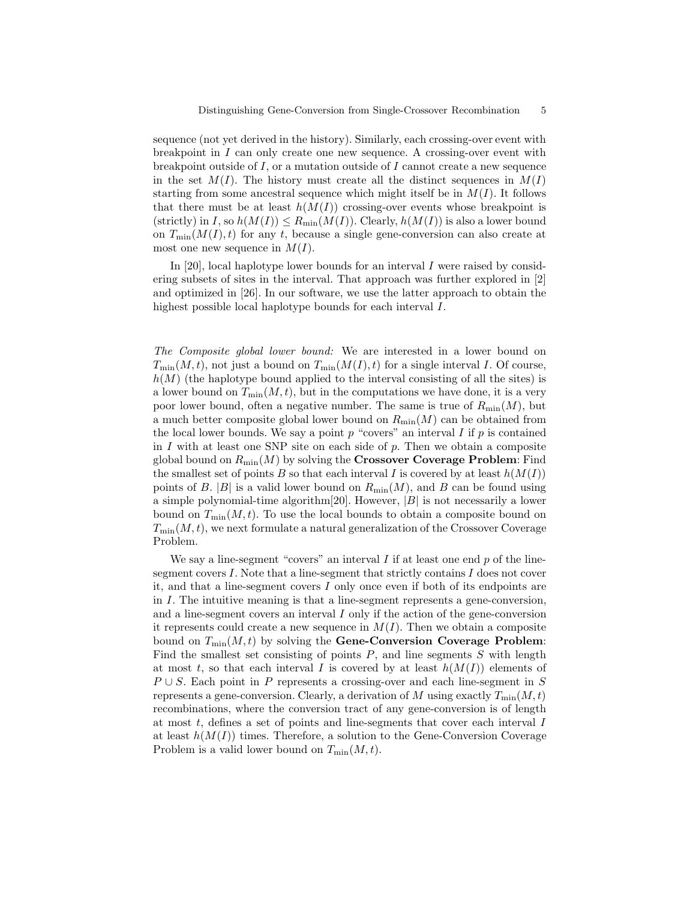sequence (not yet derived in the history). Similarly, each crossing-over event with breakpoint in  $I$  can only create one new sequence. A crossing-over event with breakpoint outside of  $I$ , or a mutation outside of  $I$  cannot create a new sequence in the set  $M(I)$ . The history must create all the distinct sequences in  $M(I)$ starting from some ancestral sequence which might itself be in  $M(I)$ . It follows that there must be at least  $h(M(I))$  crossing-over events whose breakpoint is (strictly) in I, so  $h(M(I)) \le R_{\min}(M(I))$ . Clearly,  $h(M(I))$  is also a lower bound on  $T_{\text{min}}(M(I), t)$  for any t, because a single gene-conversion can also create at most one new sequence in  $M(I)$ .

In [20], local haplotype lower bounds for an interval I were raised by considering subsets of sites in the interval. That approach was further explored in [2] and optimized in [26]. In our software, we use the latter approach to obtain the highest possible local haplotype bounds for each interval I.

The Composite global lower bound: We are interested in a lower bound on  $T_{\text{min}}(M, t)$ , not just a bound on  $T_{\text{min}}(M(I), t)$  for a single interval I. Of course,  $h(M)$  (the haplotype bound applied to the interval consisting of all the sites) is a lower bound on  $T_{\min}(M, t)$ , but in the computations we have done, it is a very poor lower bound, often a negative number. The same is true of  $R_{\text{min}}(M)$ , but a much better composite global lower bound on  $R_{\text{min}}(M)$  can be obtained from the local lower bounds. We say a point  $p$  "covers" an interval  $I$  if  $p$  is contained in I with at least one SNP site on each side of  $p$ . Then we obtain a composite global bound on  $R_{\min}(M)$  by solving the Crossover Coverage Problem: Find the smallest set of points B so that each interval I is covered by at least  $h(M(I))$ points of B.  $|B|$  is a valid lower bound on  $R_{\min}(M)$ , and B can be found using a simple polynomial-time algorithm<sup>[20]</sup>. However,  $|B|$  is not necessarily a lower bound on  $T_{\text{min}}(M, t)$ . To use the local bounds to obtain a composite bound on  $T_{\text{min}}(M, t)$ , we next formulate a natural generalization of the Crossover Coverage Problem.

We say a line-segment "covers" an interval  $I$  if at least one end  $p$  of the linesegment covers  $I$ . Note that a line-segment that strictly contains  $I$  does not cover it, and that a line-segment covers I only once even if both of its endpoints are in I. The intuitive meaning is that a line-segment represents a gene-conversion, and a line-segment covers an interval  $I$  only if the action of the gene-conversion it represents could create a new sequence in  $M(I)$ . Then we obtain a composite bound on  $T_{\text{min}}(M, t)$  by solving the **Gene-Conversion Coverage Problem**: Find the smallest set consisting of points  $P$ , and line segments  $S$  with length at most t, so that each interval I is covered by at least  $h(M(I))$  elements of  $P \cup S$ . Each point in P represents a crossing-over and each line-segment in S represents a gene-conversion. Clearly, a derivation of M using exactly  $T_{\text{min}}(M, t)$ recombinations, where the conversion tract of any gene-conversion is of length at most t, defines a set of points and line-segments that cover each interval I at least  $h(M(I))$  times. Therefore, a solution to the Gene-Conversion Coverage Problem is a valid lower bound on  $T_{\text{min}}(M, t)$ .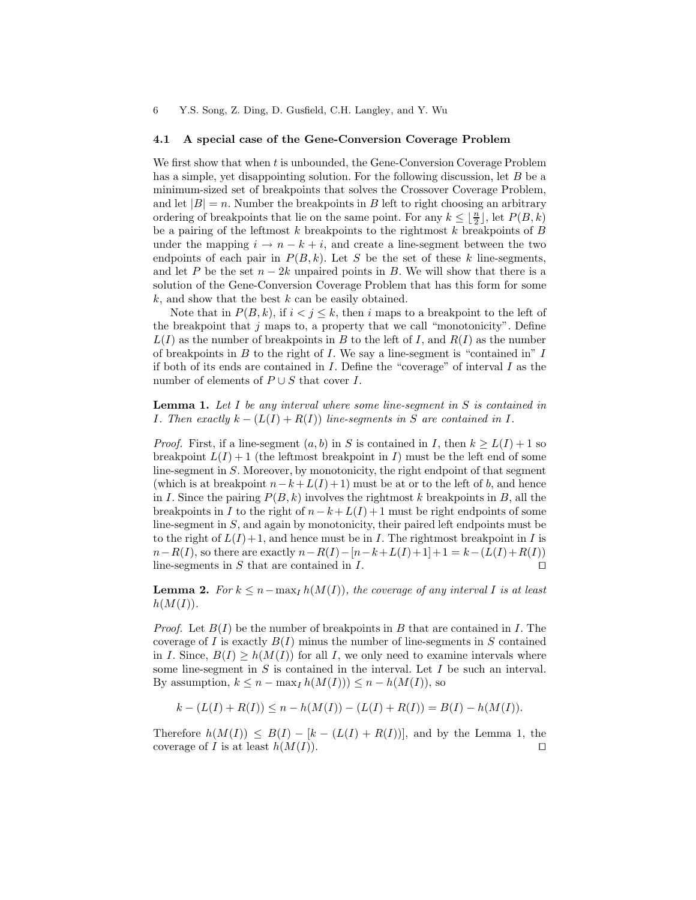### 4.1 A special case of the Gene-Conversion Coverage Problem

We first show that when  $t$  is unbounded, the Gene-Conversion Coverage Problem has a simple, yet disappointing solution. For the following discussion, let B be a minimum-sized set of breakpoints that solves the Crossover Coverage Problem, and let  $|B| = n$ . Number the breakpoints in B left to right choosing an arbitrary ordering of breakpoints that lie on the same point. For any  $k \leq \lfloor \frac{n}{2} \rfloor$ , let  $P(B, k)$ be a pairing of the leftmost  $k$  breakpoints to the rightmost  $k$  breakpoints of  $B$ under the mapping  $i \to n - k + i$ , and create a line-segment between the two endpoints of each pair in  $P(B, k)$ . Let S be the set of these k line-segments, and let P be the set  $n-2k$  unpaired points in B. We will show that there is a solution of the Gene-Conversion Coverage Problem that has this form for some  $k$ , and show that the best  $k$  can be easily obtained.

Note that in  $P(B, k)$ , if  $i < j \leq k$ , then i maps to a breakpoint to the left of the breakpoint that  $j$  maps to, a property that we call "monotonicity". Define  $L(I)$  as the number of breakpoints in B to the left of I, and  $R(I)$  as the number of breakpoints in B to the right of I. We say a line-segment is "contained in" I if both of its ends are contained in  $I$ . Define the "coverage" of interval  $I$  as the number of elements of  $P \cup S$  that cover I.

**Lemma 1.** Let  $I$  be any interval where some line-segment in  $S$  is contained in *I.* Then exactly  $k - (L(I) + R(I))$  line-segments in S are contained in I.

*Proof.* First, if a line-segment  $(a, b)$  in S is contained in I, then  $k \ge L(I) + 1$  so breakpoint  $L(I) + 1$  (the leftmost breakpoint in I) must be the left end of some line-segment in S. Moreover, by monotonicity, the right endpoint of that segment (which is at breakpoint  $n-k+L(I)+1$ ) must be at or to the left of b, and hence in I. Since the pairing  $P(B, k)$  involves the rightmost k breakpoints in B, all the breakpoints in I to the right of  $n-k+L(I)+1$  must be right endpoints of some line-segment in S, and again by monotonicity, their paired left endpoints must be to the right of  $L(I) + 1$ , and hence must be in I. The rightmost breakpoint in I is  $n-R(I)$ , so there are exactly  $n-R(I) - [n-k+L(I)+1] + 1 = k-(L(I)+R(I))$ line-segments in S that are contained in I.

**Lemma 2.** For  $k \leq n - \max_I h(M(I))$ , the coverage of any interval I is at least  $h(M(I)).$ 

*Proof.* Let  $B(I)$  be the number of breakpoints in B that are contained in I. The coverage of I is exactly  $B(I)$  minus the number of line-segments in S contained in I. Since,  $B(I) \ge h(M(I))$  for all I, we only need to examine intervals where some line-segment in  $S$  is contained in the interval. Let  $I$  be such an interval. By assumption,  $k \leq n - \max_I h(M(I))) \leq n - h(M(I))$ , so

$$
k - (L(I) + R(I)) \le n - h(M(I)) - (L(I) + R(I)) = B(I) - h(M(I)).
$$

Therefore  $h(M(I)) \leq B(I) - [k - (L(I) + R(I))]$ , and by the Lemma 1, the coverage of I is at least  $h(M(I))$ .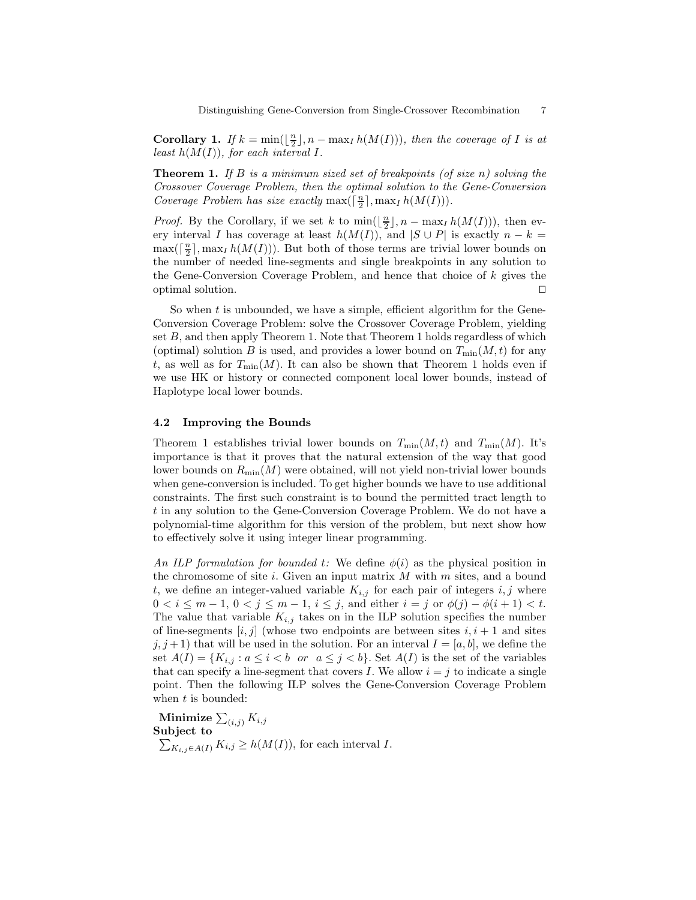**Corollary 1.** If  $k = \min(\lfloor \frac{n}{2} \rfloor, n - \max_I h(M(I))),$  then the coverage of I is at least  $h(M(I))$ , for each interval I.

**Theorem 1.** If B is a minimum sized set of breakpoints (of size n) solving the Crossover Coverage Problem, then the optimal solution to the Gene-Conversion Coverage Problem has size exactly  $\max(\lceil \frac{n}{2} \rceil, \max_I h(M(I))).$ 

*Proof.* By the Corollary, if we set k to  $\min(\lfloor \frac{n}{2} \rfloor, n - \max_I h(M(I))),$  then every interval I has coverage at least  $h(M(I))$ , and  $|S \cup P|$  is exactly  $n - k =$  $\max(\lceil \frac{n}{2} \rceil, \max_I h(M(I)))$ . But both of those terms are trivial lower bounds on the number of needed line-segments and single breakpoints in any solution to the Gene-Conversion Coverage Problem, and hence that choice of k gives the optimal solution.

So when  $t$  is unbounded, we have a simple, efficient algorithm for the Gene-Conversion Coverage Problem: solve the Crossover Coverage Problem, yielding set  $B$ , and then apply Theorem 1. Note that Theorem 1 holds regardless of which (optimal) solution B is used, and provides a lower bound on  $T_{\min}(M, t)$  for any t, as well as for  $T_{\text{min}}(M)$ . It can also be shown that Theorem 1 holds even if we use HK or history or connected component local lower bounds, instead of Haplotype local lower bounds.

### 4.2 Improving the Bounds

Theorem 1 establishes trivial lower bounds on  $T_{\min}(M, t)$  and  $T_{\min}(M)$ . It's importance is that it proves that the natural extension of the way that good lower bounds on  $R_{\text{min}}(M)$  were obtained, will not yield non-trivial lower bounds when gene-conversion is included. To get higher bounds we have to use additional constraints. The first such constraint is to bound the permitted tract length to t in any solution to the Gene-Conversion Coverage Problem. We do not have a polynomial-time algorithm for this version of the problem, but next show how to effectively solve it using integer linear programming.

An ILP formulation for bounded t: We define  $\phi(i)$  as the physical position in the chromosome of site i. Given an input matrix  $M$  with  $m$  sites, and a bound t, we define an integer-valued variable  $K_{i,j}$  for each pair of integers  $i, j$  where 0 <  $i \le m-1$ , 0 <  $j \le m-1$ ,  $i \le j$ , and either  $i = j$  or  $\phi(j) - \phi(i+1)$  < t. The value that variable  $K_{i,j}$  takes on in the ILP solution specifies the number of line-segments  $[i, j]$  (whose two endpoints are between sites  $i, i + 1$  and sites  $j, j+1$ ) that will be used in the solution. For an interval  $I = [a, b]$ , we define the set  $A(I) = \{K_{i,j} : a \leq i < b \text{ or } a \leq j < b\}$ . Set  $A(I)$  is the set of the variables that can specify a line-segment that covers I. We allow  $i = j$  to indicate a single point. Then the following ILP solves the Gene-Conversion Coverage Problem when  $t$  is bounded:

 $\operatorname{Minimize} \sum_{(i,j)} K_{i,j}$ Subject to  $\sum_{K_{i,j}\in A(I)} K_{i,j} \geq h(M(I)),$  for each interval I.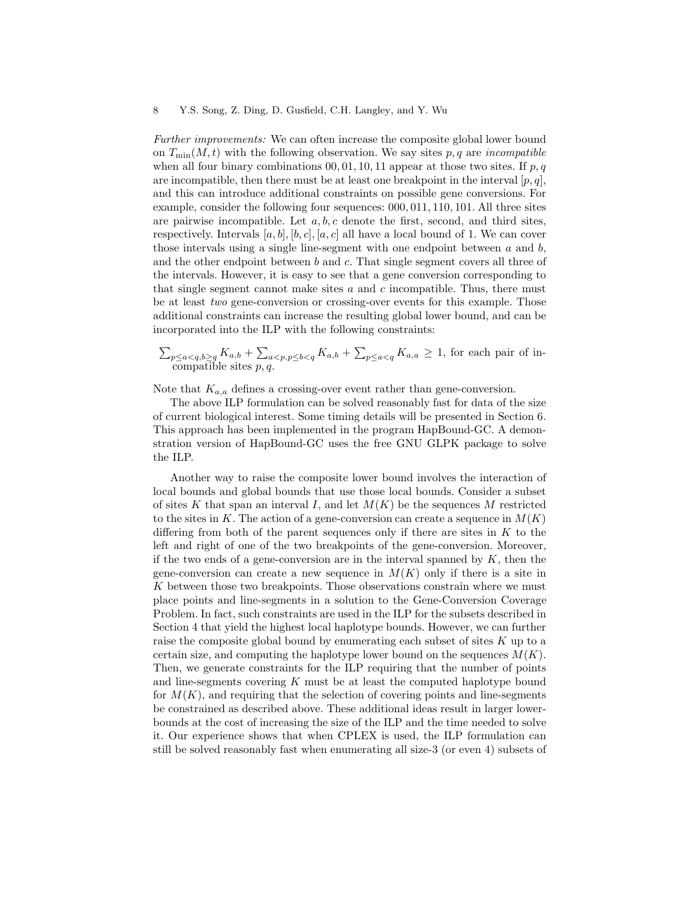Further improvements: We can often increase the composite global lower bound on  $T_{\min}(M, t)$  with the following observation. We say sites p, q are incompatible when all four binary combinations  $00, 01, 10, 11$  appear at those two sites. If  $p, q$ are incompatible, then there must be at least one breakpoint in the interval  $[p, q]$ , and this can introduce additional constraints on possible gene conversions. For example, consider the following four sequences: 000, 011, 110, 101. All three sites are pairwise incompatible. Let  $a, b, c$  denote the first, second, and third sites, respectively. Intervals  $[a, b], [b, c], [a, c]$  all have a local bound of 1. We can cover those intervals using a single line-segment with one endpoint between  $a$  and  $b$ , and the other endpoint between  $b$  and  $c$ . That single segment covers all three of the intervals. However, it is easy to see that a gene conversion corresponding to that single segment cannot make sites  $a$  and  $c$  incompatible. Thus, there must be at least two gene-conversion or crossing-over events for this example. Those additional constraints can increase the resulting global lower bound, and can be incorporated into the ILP with the following constraints:

$$
\sum_{p \leq a < q, b \geq q} K_{a,b} + \sum_{a < p, p \leq b < q} K_{a,b} + \sum_{p \leq a < q} K_{a,a} \geq 1
$$
, for each pair of in-  
compatible sites  $p, q$ .

Note that  $K_{a,a}$  defines a crossing-over event rather than gene-conversion.

The above ILP formulation can be solved reasonably fast for data of the size of current biological interest. Some timing details will be presented in Section 6. This approach has been implemented in the program HapBound-GC. A demonstration version of HapBound-GC uses the free GNU GLPK package to solve the ILP.

Another way to raise the composite lower bound involves the interaction of local bounds and global bounds that use those local bounds. Consider a subset of sites K that span an interval I, and let  $M(K)$  be the sequences M restricted to the sites in K. The action of a gene-conversion can create a sequence in  $M(K)$ differing from both of the parent sequences only if there are sites in  $K$  to the left and right of one of the two breakpoints of the gene-conversion. Moreover, if the two ends of a gene-conversion are in the interval spanned by  $K$ , then the gene-conversion can create a new sequence in  $M(K)$  only if there is a site in K between those two breakpoints. Those observations constrain where we must place points and line-segments in a solution to the Gene-Conversion Coverage Problem. In fact, such constraints are used in the ILP for the subsets described in Section 4 that yield the highest local haplotype bounds. However, we can further raise the composite global bound by enumerating each subset of sites  $K$  up to a certain size, and computing the haplotype lower bound on the sequences  $M(K)$ . Then, we generate constraints for the ILP requiring that the number of points and line-segments covering  $K$  must be at least the computed haplotype bound for  $M(K)$ , and requiring that the selection of covering points and line-segments be constrained as described above. These additional ideas result in larger lowerbounds at the cost of increasing the size of the ILP and the time needed to solve it. Our experience shows that when CPLEX is used, the ILP formulation can still be solved reasonably fast when enumerating all size-3 (or even 4) subsets of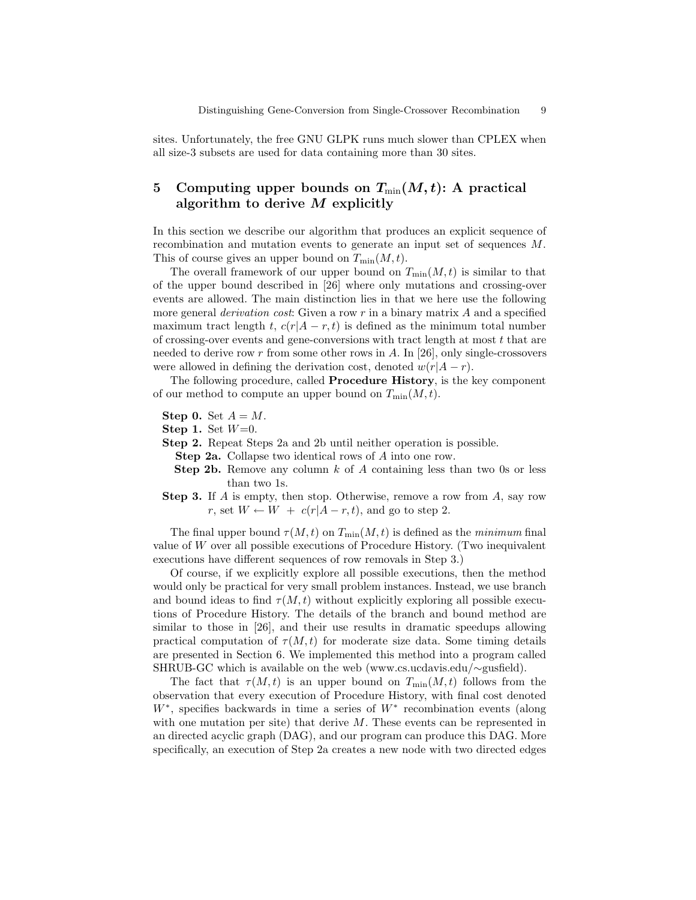sites. Unfortunately, the free GNU GLPK runs much slower than CPLEX when all size-3 subsets are used for data containing more than 30 sites.

# 5 Computing upper bounds on  $T_{\min}(M, t)$ : A practical algorithm to derive  $M$  explicitly

In this section we describe our algorithm that produces an explicit sequence of recombination and mutation events to generate an input set of sequences M. This of course gives an upper bound on  $T_{\text{min}}(M, t)$ .

The overall framework of our upper bound on  $T_{\text{min}}(M, t)$  is similar to that of the upper bound described in [26] where only mutations and crossing-over events are allowed. The main distinction lies in that we here use the following more general *derivation cost*: Given a row  $r$  in a binary matrix  $A$  and a specified maximum tract length t,  $c(r|A - r, t)$  is defined as the minimum total number of crossing-over events and gene-conversions with tract length at most  $t$  that are needed to derive row r from some other rows in A. In [26], only single-crossovers were allowed in defining the derivation cost, denoted  $w(r|A - r)$ .

The following procedure, called Procedure History, is the key component of our method to compute an upper bound on  $T_{\min}(M, t)$ .

- Step 0. Set  $A = M$ .
- Step 1. Set  $W=0$ .
- Step 2. Repeat Steps 2a and 2b until neither operation is possible.
	- Step 2a. Collapse two identical rows of A into one row.
	- Step 2b. Remove any column  $k$  of  $A$  containing less than two 0s or less than two 1s.
- **Step 3.** If A is empty, then stop. Otherwise, remove a row from A, say row r, set  $W \leftarrow W + c(r|A - r, t)$ , and go to step 2.

The final upper bound  $\tau(M, t)$  on  $T_{\min}(M, t)$  is defined as the minimum final value of W over all possible executions of Procedure History. (Two inequivalent executions have different sequences of row removals in Step 3.)

Of course, if we explicitly explore all possible executions, then the method would only be practical for very small problem instances. Instead, we use branch and bound ideas to find  $\tau(M, t)$  without explicitly exploring all possible executions of Procedure History. The details of the branch and bound method are similar to those in [26], and their use results in dramatic speedups allowing practical computation of  $\tau(M, t)$  for moderate size data. Some timing details are presented in Section 6. We implemented this method into a program called SHRUB-GC which is available on the web (www.cs.ucdavis.edu/∼gusfield).

The fact that  $\tau(M, t)$  is an upper bound on  $T_{\min}(M, t)$  follows from the observation that every execution of Procedure History, with final cost denoted  $W^*$ , specifies backwards in time a series of  $W^*$  recombination events (along with one mutation per site) that derive  $M$ . These events can be represented in an directed acyclic graph (DAG), and our program can produce this DAG. More specifically, an execution of Step 2a creates a new node with two directed edges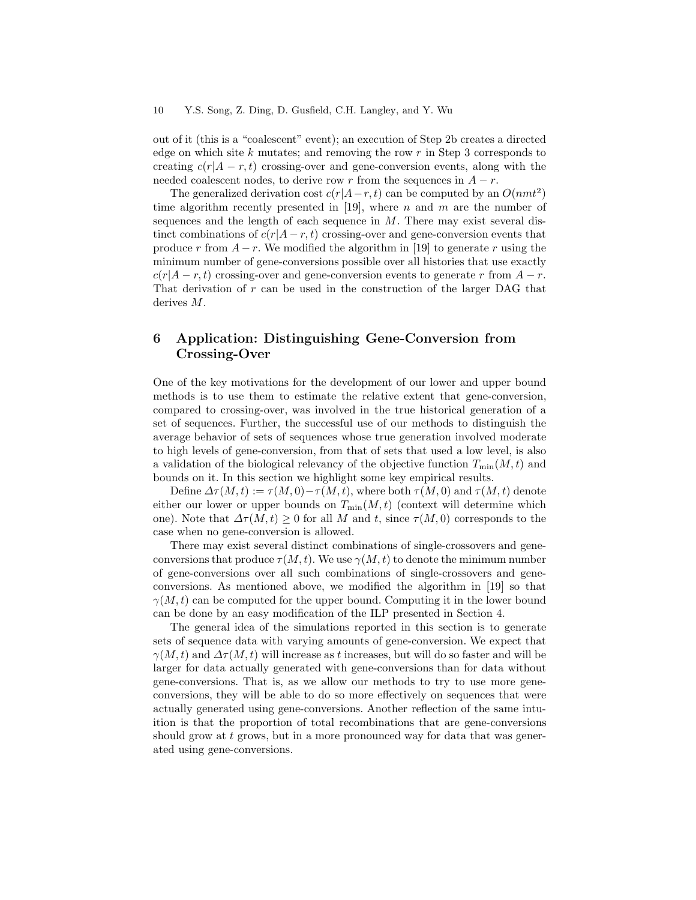out of it (this is a "coalescent" event); an execution of Step 2b creates a directed edge on which site k mutates; and removing the row  $r$  in Step 3 corresponds to creating  $c(r|A - r, t)$  crossing-over and gene-conversion events, along with the needed coalescent nodes, to derive row r from the sequences in  $A - r$ .

The generalized derivation cost  $c(r|A-r,t)$  can be computed by an  $O(nmt^2)$ time algorithm recently presented in [19], where n and m are the number of sequences and the length of each sequence in  $M$ . There may exist several distinct combinations of  $c(r|A - r, t)$  crossing-over and gene-conversion events that produce r from  $A - r$ . We modified the algorithm in [19] to generate r using the minimum number of gene-conversions possible over all histories that use exactly  $c(r|A - r, t)$  crossing-over and gene-conversion events to generate r from  $A - r$ . That derivation of r can be used in the construction of the larger DAG that derives M.

# 6 Application: Distinguishing Gene-Conversion from Crossing-Over

One of the key motivations for the development of our lower and upper bound methods is to use them to estimate the relative extent that gene-conversion, compared to crossing-over, was involved in the true historical generation of a set of sequences. Further, the successful use of our methods to distinguish the average behavior of sets of sequences whose true generation involved moderate to high levels of gene-conversion, from that of sets that used a low level, is also a validation of the biological relevancy of the objective function  $T_{\text{min}}(M, t)$  and bounds on it. In this section we highlight some key empirical results.

Define  $\Delta \tau(M,t) := \tau(M,0) - \tau(M,t)$ , where both  $\tau(M,0)$  and  $\tau(M,t)$  denote either our lower or upper bounds on  $T_{\min}(M, t)$  (context will determine which one). Note that  $\Delta \tau(M,t) \geq 0$  for all M and t, since  $\tau(M,0)$  corresponds to the case when no gene-conversion is allowed.

There may exist several distinct combinations of single-crossovers and geneconversions that produce  $\tau(M, t)$ . We use  $\gamma(M, t)$  to denote the minimum number of gene-conversions over all such combinations of single-crossovers and geneconversions. As mentioned above, we modified the algorithm in [19] so that  $\gamma(M, t)$  can be computed for the upper bound. Computing it in the lower bound can be done by an easy modification of the ILP presented in Section 4.

The general idea of the simulations reported in this section is to generate sets of sequence data with varying amounts of gene-conversion. We expect that  $\gamma(M, t)$  and  $\Delta \tau(M, t)$  will increase as t increases, but will do so faster and will be larger for data actually generated with gene-conversions than for data without gene-conversions. That is, as we allow our methods to try to use more geneconversions, they will be able to do so more effectively on sequences that were actually generated using gene-conversions. Another reflection of the same intuition is that the proportion of total recombinations that are gene-conversions should grow at t grows, but in a more pronounced way for data that was generated using gene-conversions.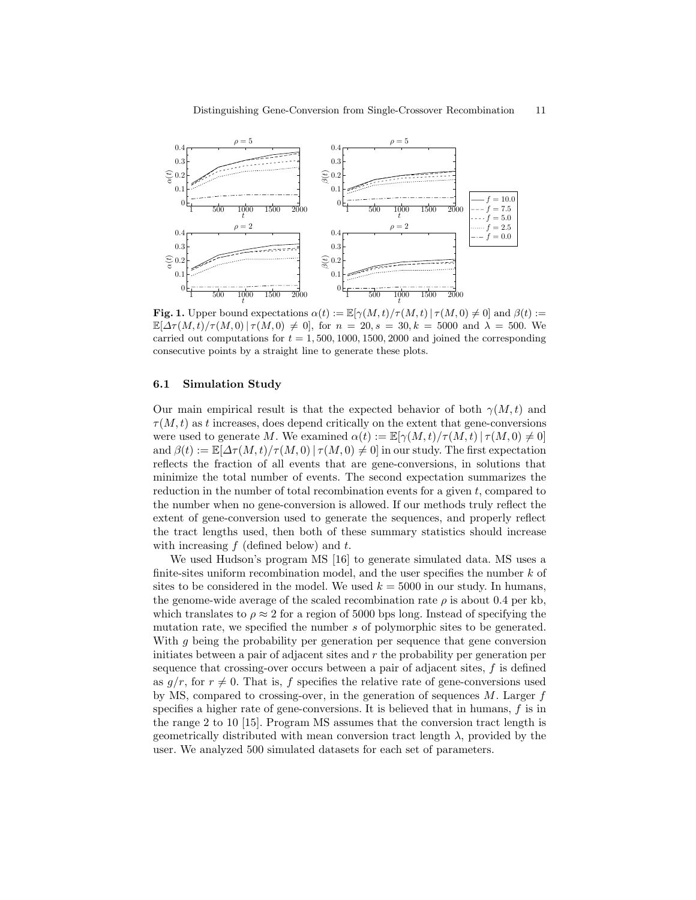

Fig. 1. Upper bound expectations  $\alpha(t) := \mathbb{E}[\gamma(M,t)/\tau(M,t) | \tau(M,0) \neq 0]$  and  $\beta(t) :=$  $\mathbb{E}[\Delta \tau(M, t) / \tau(M, 0) | \tau(M, 0) \neq 0]$ , for  $n = 20$ ,  $s = 30$ ,  $k = 5000$  and  $\lambda = 500$ . We carried out computations for  $t = 1,500,1000,1500,2000$  and joined the corresponding consecutive points by a straight line to generate these plots.

### 6.1 Simulation Study

Our main empirical result is that the expected behavior of both  $\gamma(M, t)$  and  $\tau(M, t)$  as t increases, does depend critically on the extent that gene-conversions were used to generate M. We examined  $\alpha(t) := \mathbb{E}[\gamma(M, t)/\tau(M, t) | \tau(M, 0) \neq 0]$ and  $\beta(t) := \mathbb{E}[\Delta \tau(M, t) / \tau(M, 0) | \tau(M, 0) \neq 0]$  in our study. The first expectation reflects the fraction of all events that are gene-conversions, in solutions that minimize the total number of events. The second expectation summarizes the reduction in the number of total recombination events for a given t, compared to the number when no gene-conversion is allowed. If our methods truly reflect the extent of gene-conversion used to generate the sequences, and properly reflect the tract lengths used, then both of these summary statistics should increase with increasing  $f$  (defined below) and  $t$ .

We used Hudson's program MS [16] to generate simulated data. MS uses a finite-sites uniform recombination model, and the user specifies the number  $k$  of sites to be considered in the model. We used  $k = 5000$  in our study. In humans, the genome-wide average of the scaled recombination rate  $\rho$  is about 0.4 per kb, which translates to  $\rho \approx 2$  for a region of 5000 bps long. Instead of specifying the mutation rate, we specified the number s of polymorphic sites to be generated. With g being the probability per generation per sequence that gene conversion initiates between a pair of adjacent sites and  $r$  the probability per generation per sequence that crossing-over occurs between a pair of adjacent sites,  $f$  is defined as  $g/r$ , for  $r \neq 0$ . That is, f specifies the relative rate of gene-conversions used by MS, compared to crossing-over, in the generation of sequences  $M$ . Larger f specifies a higher rate of gene-conversions. It is believed that in humans,  $f$  is in the range 2 to 10 [15]. Program MS assumes that the conversion tract length is geometrically distributed with mean conversion tract length  $\lambda$ , provided by the user. We analyzed 500 simulated datasets for each set of parameters.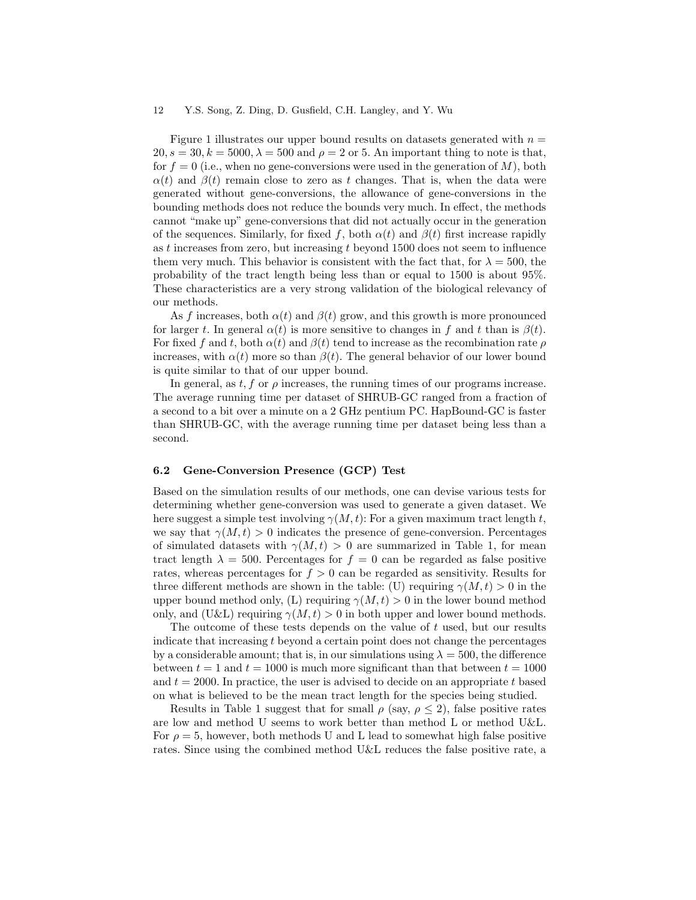Figure 1 illustrates our upper bound results on datasets generated with  $n =$  $20, s = 30, k = 5000, \lambda = 500$  and  $\rho = 2$  or 5. An important thing to note is that, for  $f = 0$  (i.e., when no gene-conversions were used in the generation of M), both  $\alpha(t)$  and  $\beta(t)$  remain close to zero as t changes. That is, when the data were generated without gene-conversions, the allowance of gene-conversions in the bounding methods does not reduce the bounds very much. In effect, the methods cannot "make up" gene-conversions that did not actually occur in the generation of the sequences. Similarly, for fixed f, both  $\alpha(t)$  and  $\beta(t)$  first increase rapidly as t increases from zero, but increasing t beyond 1500 does not seem to influence them very much. This behavior is consistent with the fact that, for  $\lambda = 500$ , the probability of the tract length being less than or equal to 1500 is about 95%. These characteristics are a very strong validation of the biological relevancy of our methods.

As f increases, both  $\alpha(t)$  and  $\beta(t)$  grow, and this growth is more pronounced for larger t. In general  $\alpha(t)$  is more sensitive to changes in f and t than is  $\beta(t)$ . For fixed f and t, both  $\alpha(t)$  and  $\beta(t)$  tend to increase as the recombination rate  $\rho$ increases, with  $\alpha(t)$  more so than  $\beta(t)$ . The general behavior of our lower bound is quite similar to that of our upper bound.

In general, as t, f or  $\rho$  increases, the running times of our programs increase. The average running time per dataset of SHRUB-GC ranged from a fraction of a second to a bit over a minute on a 2 GHz pentium PC. HapBound-GC is faster than SHRUB-GC, with the average running time per dataset being less than a second.

### 6.2 Gene-Conversion Presence (GCP) Test

Based on the simulation results of our methods, one can devise various tests for determining whether gene-conversion was used to generate a given dataset. We here suggest a simple test involving  $\gamma(M, t)$ : For a given maximum tract length t, we say that  $\gamma(M,t) > 0$  indicates the presence of gene-conversion. Percentages of simulated datasets with  $\gamma(M, t) > 0$  are summarized in Table 1, for mean tract length  $\lambda = 500$ . Percentages for  $f = 0$  can be regarded as false positive rates, whereas percentages for  $f > 0$  can be regarded as sensitivity. Results for three different methods are shown in the table: (U) requiring  $\gamma(M, t) > 0$  in the upper bound method only, (L) requiring  $\gamma(M, t) > 0$  in the lower bound method only, and (U&L) requiring  $\gamma(M, t) > 0$  in both upper and lower bound methods.

The outcome of these tests depends on the value of t used, but our results indicate that increasing  $t$  beyond a certain point does not change the percentages by a considerable amount; that is, in our simulations using  $\lambda = 500$ , the difference between  $t = 1$  and  $t = 1000$  is much more significant than that between  $t = 1000$ and  $t = 2000$ . In practice, the user is advised to decide on an appropriate t based on what is believed to be the mean tract length for the species being studied.

Results in Table 1 suggest that for small  $\rho$  (say,  $\rho \leq 2$ ), false positive rates are low and method U seems to work better than method L or method U&L. For  $\rho = 5$ , however, both methods U and L lead to somewhat high false positive rates. Since using the combined method U&L reduces the false positive rate, a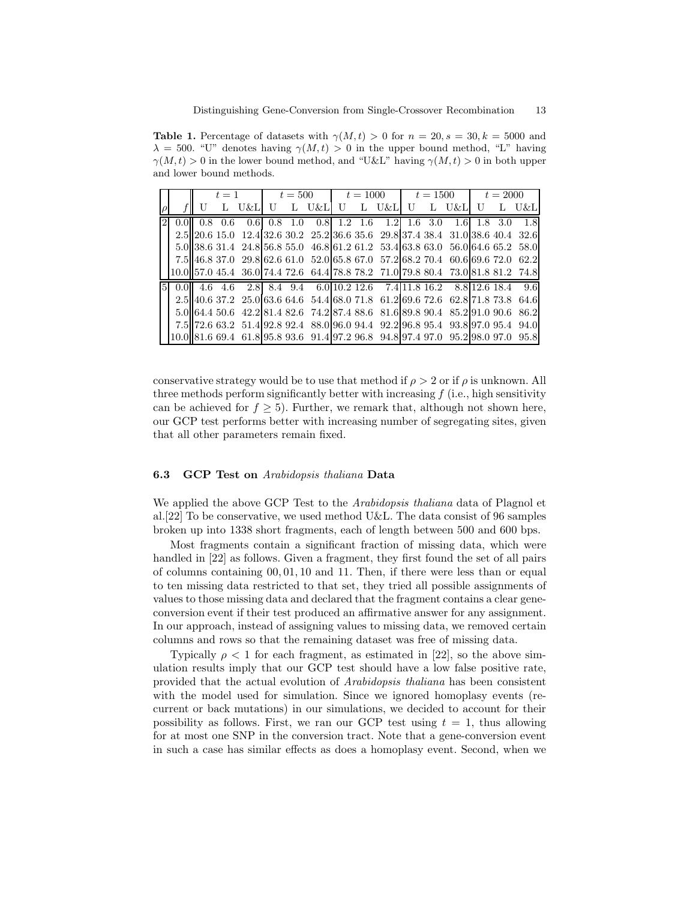Table 1. Percentage of datasets with  $\gamma(M, t) > 0$  for  $n = 20$ ,  $s = 30$ ,  $k = 5000$  and  $\lambda = 500$ . "U" denotes having  $\gamma(M, t) > 0$  in the upper bound method, "L" having  $\gamma(M, t) > 0$  in the lower bound method, and "U&L" having  $\gamma(M, t) > 0$  in both upper and lower bound methods.

|                |      | $t=1$ |                 |                                                                                     | $t=500$ |  |  | $t = 1000$ |  |                   | $t = 1500$ $t = 2000$ |  |                                               |              |      |      |
|----------------|------|-------|-----------------|-------------------------------------------------------------------------------------|---------|--|--|------------|--|-------------------|-----------------------|--|-----------------------------------------------|--------------|------|------|
|                |      |       |                 | L U&L                                                                               | - U     |  |  |            |  | L U&L U L U&L U L |                       |  | - U&LI                                        | $\mathbf{U}$ |      | U&L  |
|                |      |       | $0.8 \quad 0.6$ |                                                                                     |         |  |  |            |  |                   |                       |  | $0.6$ 0.8 1.0 0.8 1.2 1.6 1.2 1.6 3.0 1.6 1.8 |              | -3.0 | 1.8  |
|                |      |       |                 | 2.5  20.6 15.0 12.4  32.6 30.2 25.2  36.6 35.6 29.8  37.4 38.4 31.0  38.6 40.4 32.6 |         |  |  |            |  |                   |                       |  |                                               |              |      |      |
|                |      |       |                 | 5.0 38.6 31.4 24.8 56.8 55.0 46.8 61.2 61.2 53.4 63.8 63.0 56.0 64.6 65.2           |         |  |  |            |  |                   |                       |  |                                               |              |      | 58.0 |
|                |      |       |                 | 7.5 46.8 37.0 29.8 62.6 61.0 52.0 65.8 67.0 57.2 68.2 70.4 60.6 69.6 72.0           |         |  |  |            |  |                   |                       |  |                                               |              |      | 62.2 |
|                |      |       |                 | 10.0 57.0 45.4 36.0 74.4 72.6 64.4 78.8 78.2 71.0 79.8 80.4 73.0 81.8 81.2 74.8     |         |  |  |            |  |                   |                       |  |                                               |              |      |      |
| $\overline{5}$ | 0.01 |       |                 | 4.6 4.6 2.8 8.4 9.4 6.0 10.2 12.6 7.4 11.8 16.2 8.8 12.6 18.4 9.6                   |         |  |  |            |  |                   |                       |  |                                               |              |      |      |
|                |      |       |                 | 2.5 40.6 37.2 25.0 63.6 64.6 54.4 68.0 71.8 61.2 69.6 72.6 62.8 71.8 73.8           |         |  |  |            |  |                   |                       |  |                                               |              |      | 64.6 |
|                |      |       |                 | 5.0 $64.4$ 50.6 42.2 81.4 82.6 74.2 87.4 88.6 81.6 89.8 90.4 85.2 91.0 90.6         |         |  |  |            |  |                   |                       |  |                                               |              |      | 86.2 |
|                |      |       |                 | 7.5 72.6 63.2 51.4 92.8 92.4 88.0 96.0 94.4 92.2 96.8 95.4 93.8 97.0 95.4 94.0      |         |  |  |            |  |                   |                       |  |                                               |              |      |      |
|                |      |       |                 | 10.0 81.6 69.4 61.8 95.8 93.6 91.4 97.2 96.8 94.8 97.4 97.0 95.2 98.0 97.0 95.8     |         |  |  |            |  |                   |                       |  |                                               |              |      |      |

conservative strategy would be to use that method if  $\rho > 2$  or if  $\rho$  is unknown. All three methods perform significantly better with increasing  $f$  (i.e., high sensitivity can be achieved for  $f \geq 5$ ). Further, we remark that, although not shown here, our GCP test performs better with increasing number of segregating sites, given that all other parameters remain fixed.

### 6.3 GCP Test on Arabidopsis thaliana Data

We applied the above GCP Test to the *Arabidopsis thaliana* data of Plagnol et al.[22] To be conservative, we used method U&L. The data consist of 96 samples broken up into 1338 short fragments, each of length between 500 and 600 bps.

Most fragments contain a significant fraction of missing data, which were handled in [22] as follows. Given a fragment, they first found the set of all pairs of columns containing 00, 01, 10 and 11. Then, if there were less than or equal to ten missing data restricted to that set, they tried all possible assignments of values to those missing data and declared that the fragment contains a clear geneconversion event if their test produced an affirmative answer for any assignment. In our approach, instead of assigning values to missing data, we removed certain columns and rows so that the remaining dataset was free of missing data.

Typically  $\rho < 1$  for each fragment, as estimated in [22], so the above simulation results imply that our GCP test should have a low false positive rate, provided that the actual evolution of Arabidopsis thaliana has been consistent with the model used for simulation. Since we ignored homoplasy events (recurrent or back mutations) in our simulations, we decided to account for their possibility as follows. First, we ran our GCP test using  $t = 1$ , thus allowing for at most one SNP in the conversion tract. Note that a gene-conversion event in such a case has similar effects as does a homoplasy event. Second, when we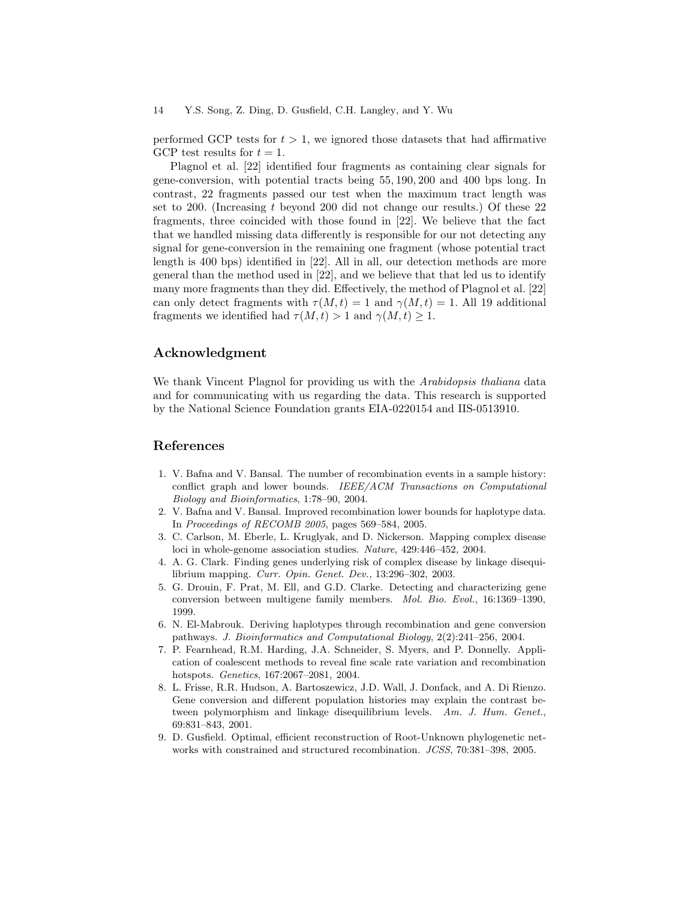performed GCP tests for  $t > 1$ , we ignored those datasets that had affirmative GCP test results for  $t = 1$ .

Plagnol et al. [22] identified four fragments as containing clear signals for gene-conversion, with potential tracts being 55, 190, 200 and 400 bps long. In contrast, 22 fragments passed our test when the maximum tract length was set to 200. (Increasing t beyond 200 did not change our results.) Of these  $22$ fragments, three coincided with those found in [22]. We believe that the fact that we handled missing data differently is responsible for our not detecting any signal for gene-conversion in the remaining one fragment (whose potential tract length is 400 bps) identified in [22]. All in all, our detection methods are more general than the method used in [22], and we believe that that led us to identify many more fragments than they did. Effectively, the method of Plagnol et al. [22] can only detect fragments with  $\tau(M, t) = 1$  and  $\gamma(M, t) = 1$ . All 19 additional fragments we identified had  $\tau(M, t) > 1$  and  $\gamma(M, t) \geq 1$ .

## Acknowledgment

We thank Vincent Plagnol for providing us with the Arabidopsis thaliana data and for communicating with us regarding the data. This research is supported by the National Science Foundation grants EIA-0220154 and IIS-0513910.

# References

- 1. V. Bafna and V. Bansal. The number of recombination events in a sample history: conflict graph and lower bounds. IEEE/ACM Transactions on Computational Biology and Bioinformatics, 1:78–90, 2004.
- 2. V. Bafna and V. Bansal. Improved recombination lower bounds for haplotype data. In Proceedings of RECOMB 2005, pages 569–584, 2005.
- 3. C. Carlson, M. Eberle, L. Kruglyak, and D. Nickerson. Mapping complex disease loci in whole-genome association studies. Nature, 429:446–452, 2004.
- 4. A. G. Clark. Finding genes underlying risk of complex disease by linkage disequilibrium mapping. Curr. Opin. Genet. Dev., 13:296–302, 2003.
- 5. G. Drouin, F. Prat, M. Ell, and G.D. Clarke. Detecting and characterizing gene conversion between multigene family members. Mol. Bio. Evol., 16:1369–1390, 1999.
- 6. N. El-Mabrouk. Deriving haplotypes through recombination and gene conversion pathways. J. Bioinformatics and Computational Biology, 2(2):241–256, 2004.
- 7. P. Fearnhead, R.M. Harding, J.A. Schneider, S. Myers, and P. Donnelly. Application of coalescent methods to reveal fine scale rate variation and recombination hotspots. Genetics, 167:2067–2081, 2004.
- 8. L. Frisse, R.R. Hudson, A. Bartoszewicz, J.D. Wall, J. Donfack, and A. Di Rienzo. Gene conversion and different population histories may explain the contrast between polymorphism and linkage disequilibrium levels. Am. J. Hum. Genet., 69:831–843, 2001.
- 9. D. Gusfield. Optimal, efficient reconstruction of Root-Unknown phylogenetic networks with constrained and structured recombination. JCSS, 70:381–398, 2005.